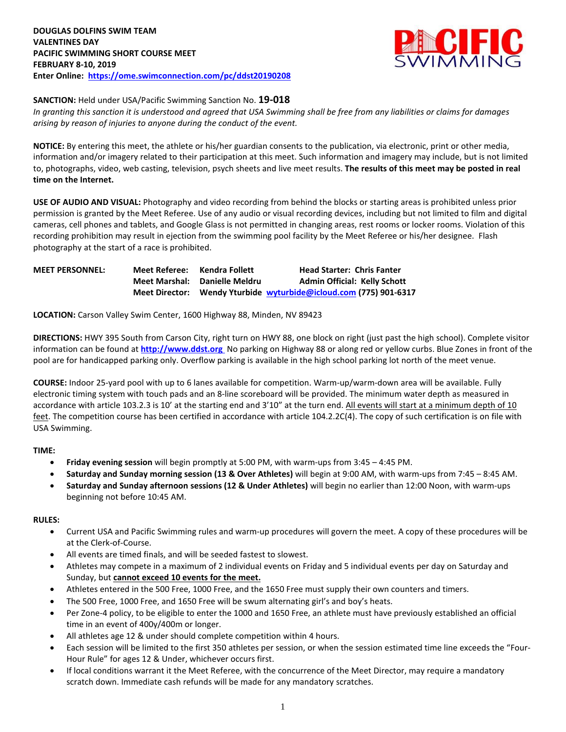

# **SANCTION:** Held under USA/Pacific Swimming Sanction No. **19-018**

In granting this sanction it is understood and agreed that USA Swimming shall be free from any liabilities or claims for damages *arising by reason of injuries to anyone during the conduct of the event.*

**NOTICE:** By entering this meet, the athlete or his/her guardian consents to the publication, via electronic, print or other media, information and/or imagery related to their participation at this meet. Such information and imagery may include, but is not limited to, photographs, video, web casting, television, psych sheets and live meet results. **The results of this meet may be posted in real time on the Internet.**

**USE OF AUDIO AND VISUAL:** Photography and video recording from behind the blocks or starting areas is prohibited unless prior permission is granted by the Meet Referee. Use of any audio or visual recording devices, including but not limited to film and digital cameras, cell phones and tablets, and Google Glass is not permitted in changing areas, rest rooms or locker rooms. Violation of this recording prohibition may result in ejection from the swimming pool facility by the Meet Referee or his/her designee. Flash photography at the start of a race is prohibited.

**MEET PERSONNEL: Meet Referee: Kendra Follett Head Starter: Chris Fanter Meet Marshal: Danielle Meldru Admin Official: Kelly Schott Meet Director: Wendy Yturbide [wyturbide@icloud.com](mailto:wyturbide@icloud.com) (775) 901-6317**

**LOCATION:** Carson Valley Swim Center, 1600 Highway 88, Minden, NV 89423

**DIRECTIONS:** HWY 395 South from Carson City, right turn on HWY 88, one block on right (just past the high school). Complete visitor information can be found at **[http://www.ddst.org](http://www.ddst.org/)** No parking on Highway 88 or along red or yellow curbs. Blue Zones in front of the pool are for handicapped parking only. Overflow parking is available in the high school parking lot north of the meet venue.

**COURSE:** Indoor 25-yard pool with up to 6 lanes available for competition. Warm-up/warm-down area will be available. Fully electronic timing system with touch pads and an 8-line scoreboard will be provided. The minimum water depth as measured in accordance with article 103.2.3 is 10' at the starting end and 3'10" at the turn end. All events will start at a minimum depth of 10 feet. The competition course has been certified in accordance with article 104.2.2C(4). The copy of such certification is on file with USA Swimming.

#### **TIME:**

- **Friday evening session** will begin promptly at 5:00 PM, with warm-ups from 3:45 4:45 PM.
- **Saturday and Sunday morning session (13 & Over Athletes)** will begin at 9:00 AM, with warm-ups from 7:45 8:45 AM.
- **Saturday and Sunday afternoon sessions (12 & Under Athletes)** will begin no earlier than 12:00 Noon, with warm-ups beginning not before 10:45 AM.

#### **RULES:**

- Current USA and Pacific Swimming rules and warm-up procedures will govern the meet. A copy of these procedures will be at the Clerk-of-Course.
- All events are timed finals, and will be seeded fastest to slowest.
- Athletes may compete in a maximum of 2 individual events on Friday and 5 individual events per day on Saturday and Sunday, but **cannot exceed 10 events for the meet.**
- Athletes entered in the 500 Free, 1000 Free, and the 1650 Free must supply their own counters and timers.
- The 500 Free, 1000 Free, and 1650 Free will be swum alternating girl's and boy's heats.
- Per Zone-4 policy, to be eligible to enter the 1000 and 1650 Free, an athlete must have previously established an official time in an event of 400y/400m or longer.
- All athletes age 12 & under should complete competition within 4 hours.
- Each session will be limited to the first 350 athletes per session, or when the session estimated time line exceeds the "Four-Hour Rule" for ages 12 & Under, whichever occurs first.
- If local conditions warrant it the Meet Referee, with the concurrence of the Meet Director, may require a mandatory scratch down. Immediate cash refunds will be made for any mandatory scratches.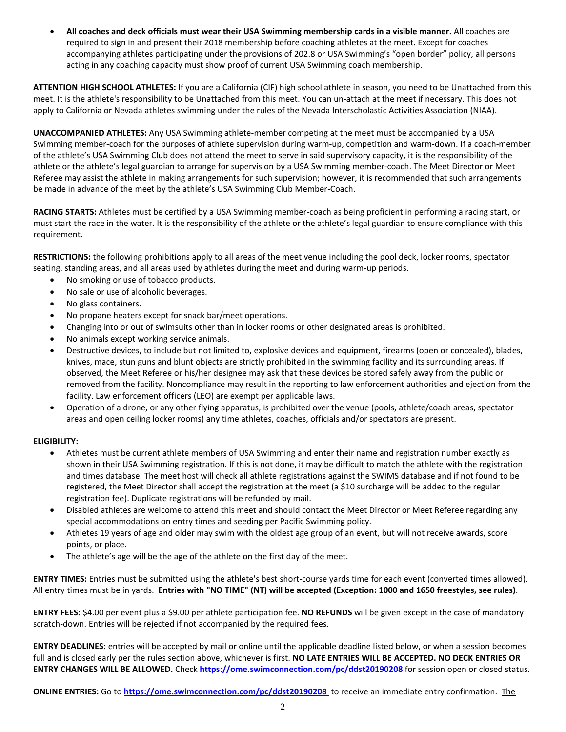All coaches and deck officials must wear their USA Swimming membership cards in a visible manner. All coaches are required to sign in and present their 2018 membership before coaching athletes at the meet. Except for coaches accompanying athletes participating under the provisions of 202.8 or USA Swimming's "open border" policy, all persons acting in any coaching capacity must show proof of current USA Swimming coach membership.

**ATTENTION HIGH SCHOOL ATHLETES:** If you are a California (CIF) high school athlete in season, you need to be Unattached from this meet. It is the athlete's responsibility to be Unattached from this meet. You can un-attach at the meet if necessary. This does not apply to California or Nevada athletes swimming under the rules of the Nevada Interscholastic Activities Association (NIAA).

**UNACCOMPANIED ATHLETES:** Any USA Swimming athlete-member competing at the meet must be accompanied by a USA Swimming member-coach for the purposes of athlete supervision during warm-up, competition and warm-down. If a coach-member of the athlete's USA Swimming Club does not attend the meet to serve in said supervisory capacity, it is the responsibility of the athlete or the athlete's legal guardian to arrange for supervision by a USA Swimming member-coach. The Meet Director or Meet Referee may assist the athlete in making arrangements for such supervision; however, it is recommended that such arrangements be made in advance of the meet by the athlete's USA Swimming Club Member-Coach.

**RACING STARTS:** Athletes must be certified by a USA Swimming member-coach as being proficient in performing a racing start, or must start the race in the water. It is the responsibility of the athlete or the athlete's legal guardian to ensure compliance with this requirement.

**RESTRICTIONS:** the following prohibitions apply to all areas of the meet venue including the pool deck, locker rooms, spectator seating, standing areas, and all areas used by athletes during the meet and during warm-up periods.

- No smoking or use of tobacco products.
- No sale or use of alcoholic beverages.
- No glass containers.
- No propane heaters except for snack bar/meet operations.
- Changing into or out of swimsuits other than in locker rooms or other designated areas is prohibited.
- No animals except working service animals.
- Destructive devices, to include but not limited to, explosive devices and equipment, firearms (open or concealed), blades, knives, mace, stun guns and blunt objects are strictly prohibited in the swimming facility and its surrounding areas. If observed, the Meet Referee or his/her designee may ask that these devices be stored safely away from the public or removed from the facility. Noncompliance may result in the reporting to law enforcement authorities and ejection from the facility. Law enforcement officers (LEO) are exempt per applicable laws.
- Operation of a drone, or any other flying apparatus, is prohibited over the venue (pools, athlete/coach areas, spectator areas and open ceiling locker rooms) any time athletes, coaches, officials and/or spectators are present.

#### **ELIGIBILITY:**

- Athletes must be current athlete members of USA Swimming and enter their name and registration number exactly as shown in their USA Swimming registration. If this is not done, it may be difficult to match the athlete with the registration and times database. The meet host will check all athlete registrations against the SWIMS database and if not found to be registered, the Meet Director shall accept the registration at the meet (a \$10 surcharge will be added to the regular registration fee). Duplicate registrations will be refunded by mail.
- Disabled athletes are welcome to attend this meet and should contact the Meet Director or Meet Referee regarding any special accommodations on entry times and seeding per Pacific Swimming policy.
- Athletes 19 years of age and older may swim with the oldest age group of an event, but will not receive awards, score points, or place.
- The athlete's age will be the age of the athlete on the first day of the meet.

**ENTRY TIMES:** Entries must be submitted using the athlete's best short-course yards time for each event (converted times allowed). All entry times must be in yards. Entries with "NO TIME" (NT) will be accepted (Exception: 1000 and 1650 freestyles, see rules).

**ENTRY FEES:** \$4.00 per event plus a \$9.00 per athlete participation fee. **NO REFUNDS** will be given except in the case of mandatory scratch-down. Entries will be rejected if not accompanied by the required fees.

**ENTRY DEADLINES:** entries will be accepted by mail or online until the applicable deadline listed below, or when a session becomes full and is closed early per the rules section above, whichever is first. **NO LATE ENTRIES WILL BE ACCEPTED. NO DECK ENTRIES OR ENTRY CHANGES WILL BE ALLOWED.** Check **<https://ome.swimconnection.com/pc/ddst20190208>** for session open or closed status.

**ONLINE ENTRIES:** Go to **<https://ome.swimconnection.com/pc/ddst20190208>** to receive an immediate entry confirmation. The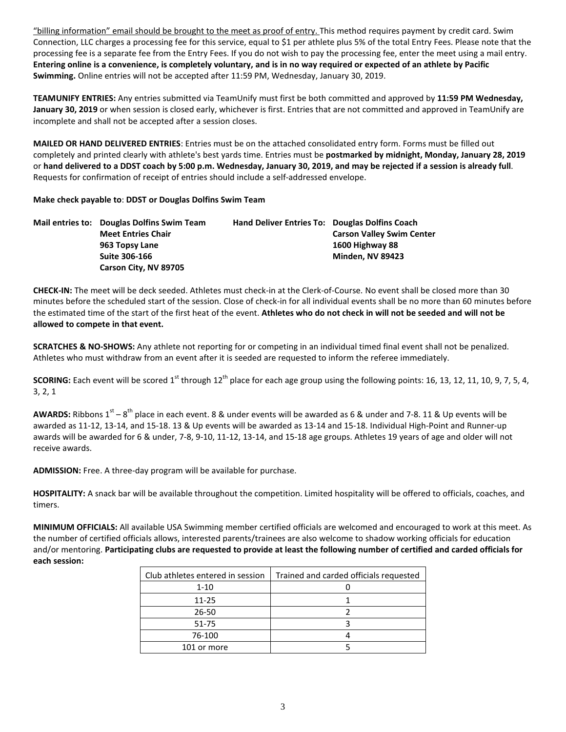"billing information" email should be brought to the meet as proof of entry. This method requires payment by credit card. Swim Connection, LLC charges a processing fee for this service, equal to \$1 per athlete plus 5% of the total Entry Fees. Please note that the processing fee is a separate fee from the Entry Fees. If you do not wish to pay the processing fee, enter the meet using a mail entry. Entering online is a convenience, is completely voluntary, and is in no way required or expected of an athlete by Pacific **Swimming.** Online entries will not be accepted after 11:59 PM, Wednesday, January 30, 2019.

**TEAMUNIFY ENTRIES:** Any entries submitted via TeamUnify must first be both committed and approved by **11:59 PM Wednesday, January 30, 2019** or when session is closed early, whichever is first. Entries that are not committed and approved in TeamUnify are incomplete and shall not be accepted after a session closes.

**MAILED OR HAND DELIVERED ENTRIES**: Entries must be on the attached consolidated entry form. Forms must be filled out completely and printed clearly with athlete's best yards time. Entries must be **postmarked by midnight, Monday, January 28, 2019** or hand delivered to a DDST coach by 5:00 p.m. Wednesday, January 30, 2019, and may be rejected if a session is already full. Requests for confirmation of receipt of entries should include a self-addressed envelope.

## **Make check payable to**: **DDST or Douglas Dolfins Swim Team**

|  | Mail entries to: Douglas Dolfins Swim Team | <b>Hand Deliver Entries To: Douglas Dolfins Coach</b> |                                  |
|--|--------------------------------------------|-------------------------------------------------------|----------------------------------|
|  | <b>Meet Entries Chair</b>                  |                                                       | <b>Carson Valley Swim Center</b> |
|  | 963 Topsy Lane                             |                                                       | 1600 Highway 88                  |
|  | <b>Suite 306-166</b>                       |                                                       | <b>Minden, NV 89423</b>          |
|  | Carson City, NV 89705                      |                                                       |                                  |

**CHECK-IN:** The meet will be deck seeded. Athletes must check-in at the Clerk-of-Course. No event shall be closed more than 30 minutes before the scheduled start of the session. Close of check-in for all individual events shall be no more than 60 minutes before the estimated time of the start of the first heat of the event. Athletes who do not check in will not be seeded and will not be **allowed to compete in that event.**

**SCRATCHES & NO-SHOWS:** Any athlete not reporting for or competing in an individual timed final event shall not be penalized. Athletes who must withdraw from an event after it is seeded are requested to inform the referee immediately.

SCORING: Each event will be scored 1<sup>st</sup> through 12<sup>th</sup> place for each age group using the following points: 16, 13, 12, 11, 10, 9, 7, 5, 4, 3, 2, 1

**AWARDS:** Ribbons  $1^{st} - 8^{th}$  place in each event. 8 & under events will be awarded as 6 & under and 7-8. 11 & Up events will be awarded as 11-12, 13-14, and 15-18. 13 & Up events will be awarded as 13-14 and 15-18. Individual High-Point and Runner-up awards will be awarded for 6 & under, 7-8, 9-10, 11-12, 13-14, and 15-18 age groups. Athletes 19 years of age and older will not receive awards.

**ADMISSION:** Free. A three-day program will be available for purchase.

**HOSPITALITY:** A snack bar will be available throughout the competition. Limited hospitality will be offered to officials, coaches, and timers.

**MINIMUM OFFICIALS:** All available USA Swimming member certified officials are welcomed and encouraged to work at this meet. As the number of certified officials allows, interested parents/trainees are also welcome to shadow working officials for education and/or mentoring. Participating clubs are requested to provide at least the following number of certified and carded officials for **each session:**

| Club athletes entered in session | Trained and carded officials requested |
|----------------------------------|----------------------------------------|
| $1 - 10$                         |                                        |
| 11-25                            |                                        |
| 26-50                            |                                        |
| 51-75                            |                                        |
| 76-100                           |                                        |
| 101 or more                      |                                        |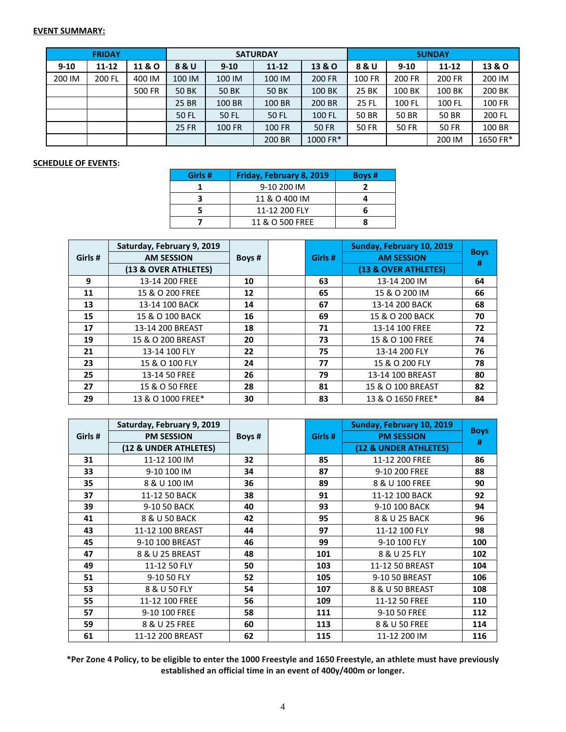### **EVENT SUMMARY:**

|          | <b>FRIDAY</b> |        |              |              | <b>SATURDAY</b> |               | <b>SUNDAY</b> |              |              |                   |  |
|----------|---------------|--------|--------------|--------------|-----------------|---------------|---------------|--------------|--------------|-------------------|--|
| $9 - 10$ | $11 - 12$     | 11 & O | 8 & U        | $9 - 10$     | $11 - 12$       | 13 & O        | 8 & U         | $9 - 10$     | $11 - 12$    | <b>13 &amp; O</b> |  |
| 200 IM   | 200 FL        | 400 IM | 100 IM       | 100 IM       | 100 IM          | <b>200 FR</b> | 100 FR        | 200 FR       | 200 FR       | 200 IM            |  |
|          |               | 500 FR | <b>50 BK</b> | <b>50 BK</b> | <b>50 BK</b>    | 100 BK        | 25 BK         | 100 BK       | 100 BK       | 200 BK            |  |
|          |               |        | 25 BR        | 100 BR       | 100 BR          | 200 BR        | <b>25 FL</b>  | 100 FL       | 100 FL       | <b>100 FR</b>     |  |
|          |               |        | 50 FL        | 50 FL        | 50 FL           | 100 FL        | 50 BR         | 50 BR        | <b>50 BR</b> | 200 FL            |  |
|          |               |        | <b>25 FR</b> | 100 FR       | <b>100 FR</b>   | <b>50 FR</b>  | <b>50 FR</b>  | <b>50 FR</b> | <b>50 FR</b> | 100 BR            |  |
|          |               |        |              |              | 200 BR          | 1000 FR*      |               |              | 200 IM       | 1650 FR*          |  |

#### **SCHEDULE OF EVENTS:**

| Girls # | Friday, February 8, 2019 | Boys # |
|---------|--------------------------|--------|
|         | 9-10 200 IM              |        |
|         | 11 & O 400 IM            |        |
|         | 11-12 200 FLY            |        |
|         | 11 & O 500 FREE          |        |

|         | Saturday, February 9, 2019 |        |         | Sunday, February 10, 2019 |                  |
|---------|----------------------------|--------|---------|---------------------------|------------------|
| Girls # | <b>AM SESSION</b>          | Boys # | Girls # | <b>AM SESSION</b>         | <b>Boys</b><br># |
|         | (13 & OVER ATHLETES)       |        |         | (13 & OVER ATHLETES)      |                  |
| 9       | 13-14 200 FREE             | 10     | 63      | 13-14 200 IM              | 64               |
| 11      | 15 & O 200 FREE            | 12     | 65      | 15 & O 200 IM             | 66               |
| 13      | 13-14 100 BACK             | 14     | 67      | 13-14 200 BACK            | 68               |
| 15      | 15 & O 100 BACK            | 16     | 69      | 15 & O 200 BACK           | 70               |
| 17      | 13-14 200 BREAST           | 18     | 71      | 13-14 100 FREE            | 72               |
| 19      | 15 & O 200 BREAST          | 20     | 73      | 15 & O 100 FREE           | 74               |
| 21      | 13-14 100 FLY              | 22     | 75      | 13-14 200 FLY             | 76               |
| 23      | 15 & O 100 FLY             | 24     | 77      | 15 & O 200 FLY            | 78               |
| 25      | 13-14 50 FREE              | 26     | 79      | 13-14 100 BREAST          | 80               |
| 27      | 15 & O 50 FREE             | 28     | 81      | 15 & O 100 BREAST         | 82               |
| 29      | 13 & O 1000 FREE*          | 30     | 83      | 13 & O 1650 FREE*         | 84               |

|         | Saturday, February 9, 2019 |        |  |        | Sunday, February 10, 2019 |                  |
|---------|----------------------------|--------|--|--------|---------------------------|------------------|
| Girls # | <b>PM SESSION</b>          | Boys # |  | Girls# | <b>PM SESSION</b>         | <b>Boys</b><br># |
|         | (12 & UNDER ATHLETES)      |        |  |        | (12 & UNDER ATHLETES)     |                  |
| 31      | 11-12 100 IM               | 32     |  | 85     | 11-12 200 FREE            | 86               |
| 33      | 9-10 100 IM                | 34     |  | 87     | 9-10 200 FREE             | 88               |
| 35      | 8 & U 100 IM               | 36     |  | 89     | 8 & U 100 FREE            | 90               |
| 37      | 11-12 50 BACK              | 38     |  | 91     | 11-12 100 BACK            | 92               |
| 39      | 9-10 50 BACK               | 40     |  | 93     | 9-10 100 BACK             | 94               |
| 41      | 8 & U 50 BACK              | 42     |  | 95     | 8 & U 25 BACK             | 96               |
| 43      | 11-12 100 BREAST           | 44     |  | 97     | 11-12 100 FLY             | 98               |
| 45      | 9-10 100 BREAST            | 46     |  | 99     | 9-10 100 FLY              | 100              |
| 47      | 8 & U 25 BREAST            | 48     |  | 101    | 8 & U 25 FLY              | 102              |
| 49      | 11-12 50 FLY               | 50     |  | 103    | 11-12 50 BREAST           | 104              |
| 51      | 9-10 50 FLY                | 52     |  | 105    | 9-10 50 BREAST            | 106              |
| 53      | 8 & U 50 FLY               | 54     |  | 107    | 8 & U 50 BREAST           | 108              |
| 55      | 11-12 100 FREE             | 56     |  | 109    | 11-12 50 FREE             | 110              |
| 57      | 9-10 100 FREE              | 58     |  | 111    | 9-10 50 FREE              | 112              |
| 59      | 8 & U 25 FREE              | 60     |  | 113    | 8 & U 50 FREE             | 114              |
| 61      | 11-12 200 BREAST           | 62     |  | 115    | 11-12 200 IM              | 116              |

\*Per Zone 4 Policy, to be eligible to enter the 1000 Freestyle and 1650 Freestyle, an athlete must have previously **established an official time in an event of 400y/400m or longer.**